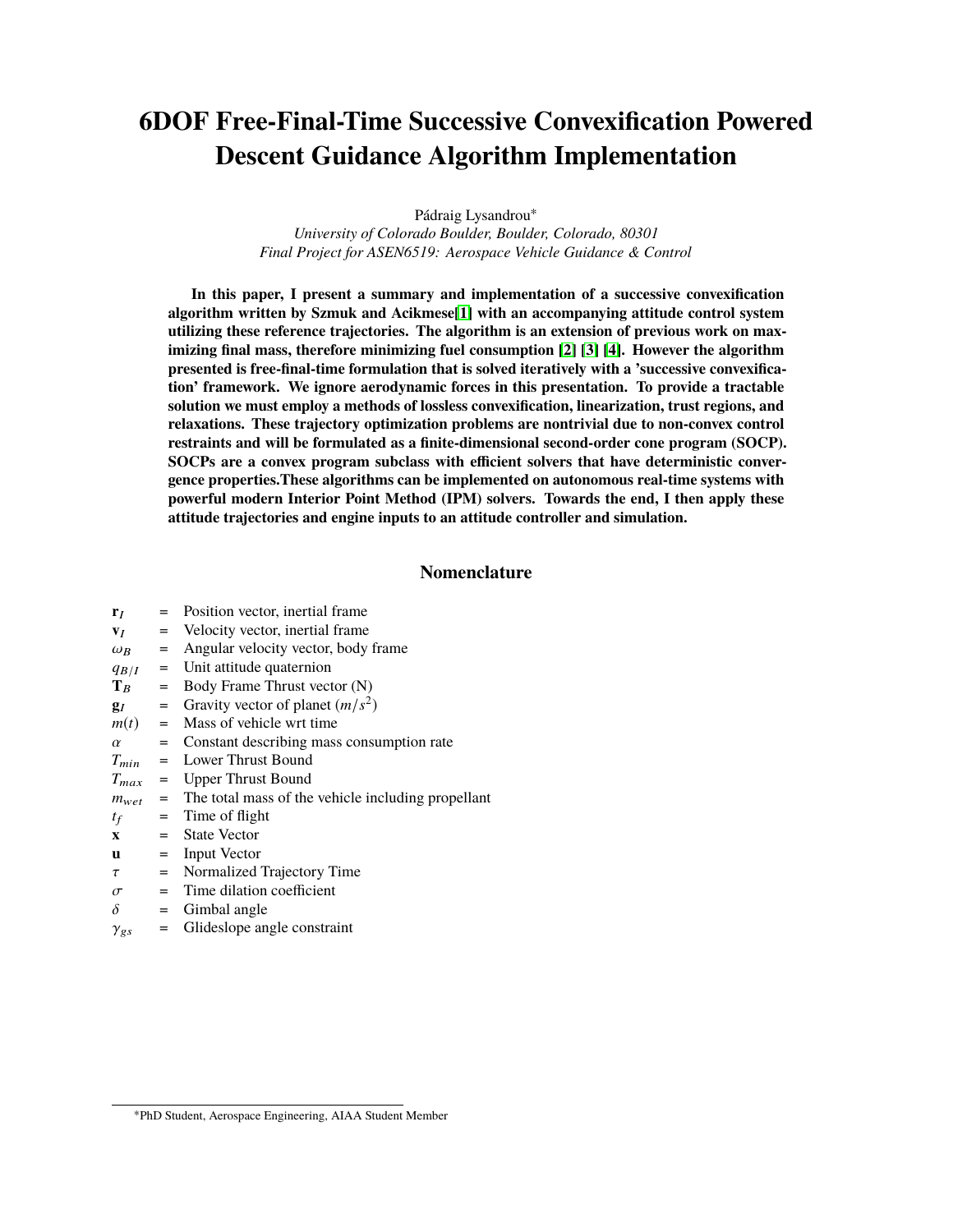# **6DOF Free-Final-Time Successive Convexification Powered Descent Guidance Algorithm Implementation**

Pádraig Lysandrou<sup>∗</sup>

*University of Colorado Boulder, Boulder, Colorado, 80301 Final Project for ASEN6519: Aerospace Vehicle Guidance & Control*

**In this paper, I present a summary and implementation of a successive convexification algorithm written by Szmuk and Acikmese[\[1\]](#page-16-0) with an accompanying attitude control system utilizing these reference trajectories. The algorithm is an extension of previous work on maximizing final mass, therefore minimizing fuel consumption [\[2\]](#page-16-1) [\[3\]](#page-16-2) [\[4\]](#page-16-3). However the algorithm presented is free-final-time formulation that is solved iteratively with a 'successive convexification' framework. We ignore aerodynamic forces in this presentation. To provide a tractable solution we must employ a methods of lossless convexification, linearization, trust regions, and relaxations. These trajectory optimization problems are nontrivial due to non-convex control restraints and will be formulated as a finite-dimensional second-order cone program (SOCP). SOCPs are a convex program subclass with efficient solvers that have deterministic convergence properties.These algorithms can be implemented on autonomous real-time systems with powerful modern Interior Point Method (IPM) solvers. Towards the end, I then apply these attitude trajectories and engine inputs to an attitude controller and simulation.**

# **Nomenclature**

| ${\bf r}_I$    | $=$      | Position vector, inertial frame.                   |
|----------------|----------|----------------------------------------------------|
| $V_I$          | $=$      | Velocity vector, inertial frame.                   |
| $\omega_B$     | $=$      | Angular velocity vector, body frame                |
| $q_{B/I}$      | $\equiv$ | Unit attitude quaternion                           |
| $\mathbf{T}_R$ | $=$      | Body Frame Thrust vector (N)                       |
| $\mathbf{g}_I$ | $=$      | Gravity vector of planet $(m/s^2)$                 |
| $m(t) =$       |          | Mass of vehicle wrt time                           |
| $\alpha$       | $=$      | Constant describing mass consumption rate          |
| $T_{min}$ =    |          | Lower Thrust Bound                                 |
| $T_{max}$ =    |          | Upper Thrust Bound                                 |
| $m_{wet}$ =    |          | The total mass of the vehicle including propellant |
| $t_f$          | $=$      | Time of flight                                     |
| $\mathbf x$    | $=$      | <b>State Vector</b>                                |
| u              | $=$      | Input Vector                                       |
| $\tau$         | $=$      | Normalized Trajectory Time                         |
| $\sigma$       | $=$      | Time dilation coefficient                          |
| $\delta$       | $=$      | Gimbal angle                                       |
| $\gamma_{gs}$  | $=$      | Glideslope angle constraint                        |
|                |          |                                                    |

<sup>∗</sup>PhD Student, Aerospace Engineering, AIAA Student Member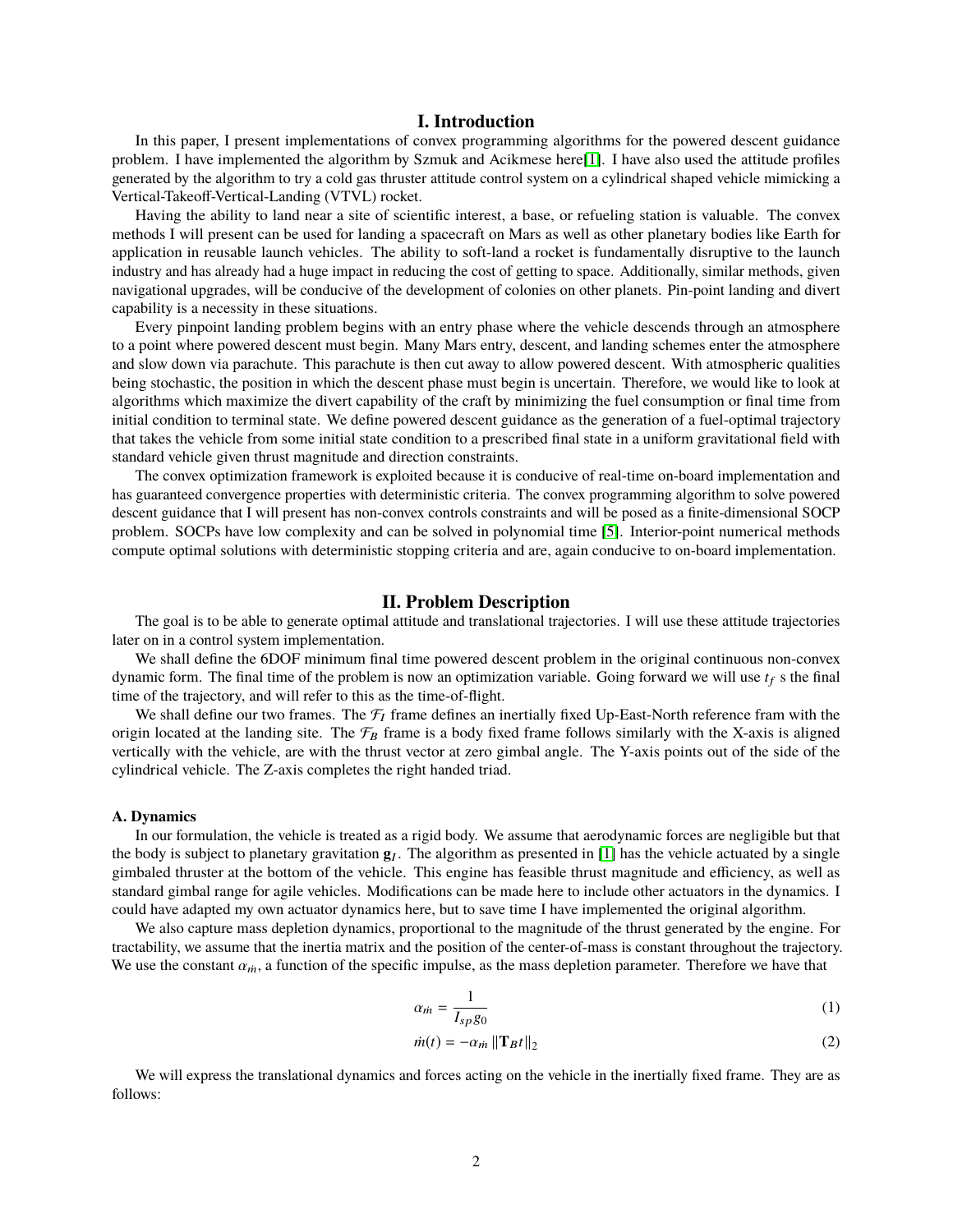# **I. Introduction**

In this paper, I present implementations of convex programming algorithms for the powered descent guidance problem. I have implemented the algorithm by Szmuk and Acikmese here[\[1\]](#page-16-0). I have also used the attitude profiles generated by the algorithm to try a cold gas thruster attitude control system on a cylindrical shaped vehicle mimicking a Vertical-Takeoff-Vertical-Landing (VTVL) rocket.

Having the ability to land near a site of scientific interest, a base, or refueling station is valuable. The convex methods I will present can be used for landing a spacecraft on Mars as well as other planetary bodies like Earth for application in reusable launch vehicles. The ability to soft-land a rocket is fundamentally disruptive to the launch industry and has already had a huge impact in reducing the cost of getting to space. Additionally, similar methods, given navigational upgrades, will be conducive of the development of colonies on other planets. Pin-point landing and divert capability is a necessity in these situations.

Every pinpoint landing problem begins with an entry phase where the vehicle descends through an atmosphere to a point where powered descent must begin. Many Mars entry, descent, and landing schemes enter the atmosphere and slow down via parachute. This parachute is then cut away to allow powered descent. With atmospheric qualities being stochastic, the position in which the descent phase must begin is uncertain. Therefore, we would like to look at algorithms which maximize the divert capability of the craft by minimizing the fuel consumption or final time from initial condition to terminal state. We define powered descent guidance as the generation of a fuel-optimal trajectory that takes the vehicle from some initial state condition to a prescribed final state in a uniform gravitational field with standard vehicle given thrust magnitude and direction constraints.

The convex optimization framework is exploited because it is conducive of real-time on-board implementation and has guaranteed convergence properties with deterministic criteria. The convex programming algorithm to solve powered descent guidance that I will present has non-convex controls constraints and will be posed as a finite-dimensional SOCP problem. SOCPs have low complexity and can be solved in polynomial time [\[5\]](#page-16-4). Interior-point numerical methods compute optimal solutions with deterministic stopping criteria and are, again conducive to on-board implementation.

## **II. Problem Description**

The goal is to be able to generate optimal attitude and translational trajectories. I will use these attitude trajectories later on in a control system implementation.

We shall define the 6DOF minimum final time powered descent problem in the original continuous non-convex dynamic form. The final time of the problem is now an optimization variable. Going forward we will use  $t_f$  s the final time of the trajectory, and will refer to this as the time-of-flight.

We shall define our two frames. The  $\mathcal{F}_I$  frame defines an inertially fixed Up-East-North reference fram with the origin located at the landing site. The  $\mathcal{F}_B$  frame is a body fixed frame follows similarly with the X-axis is aligned vertically with the vehicle, are with the thrust vector at zero gimbal angle. The Y-axis points out of the side of the cylindrical vehicle. The Z-axis completes the right handed triad.

#### **A. Dynamics**

In our formulation, the vehicle is treated as a rigid body. We assume that aerodynamic forces are negligible but that the body is subject to planetary gravitation  $g<sub>I</sub>$ . The algorithm as presented in [\[1\]](#page-16-0) has the vehicle actuated by a single gimbaled thruster at the bottom of the vehicle. This engine has feasible thrust magnitude and efficiency, as well as standard gimbal range for agile vehicles. Modifications can be made here to include other actuators in the dynamics. I could have adapted my own actuator dynamics here, but to save time I have implemented the original algorithm.

We also capture mass depletion dynamics, proportional to the magnitude of the thrust generated by the engine. For tractability, we assume that the inertia matrix and the position of the center-of-mass is constant throughout the trajectory. We use the constant  $\alpha_{m}$ , a function of the specific impulse, as the mass depletion parameter. Therefore we have that

$$
\alpha_{\dot{m}} = \frac{1}{I_{sp}g_0} \tag{1}
$$

$$
\dot{m}(t) = -\alpha_{\dot{m}} \left\| \mathbf{T}_B t \right\|_2 \tag{2}
$$

We will express the translational dynamics and forces acting on the vehicle in the inertially fixed frame. They are as follows: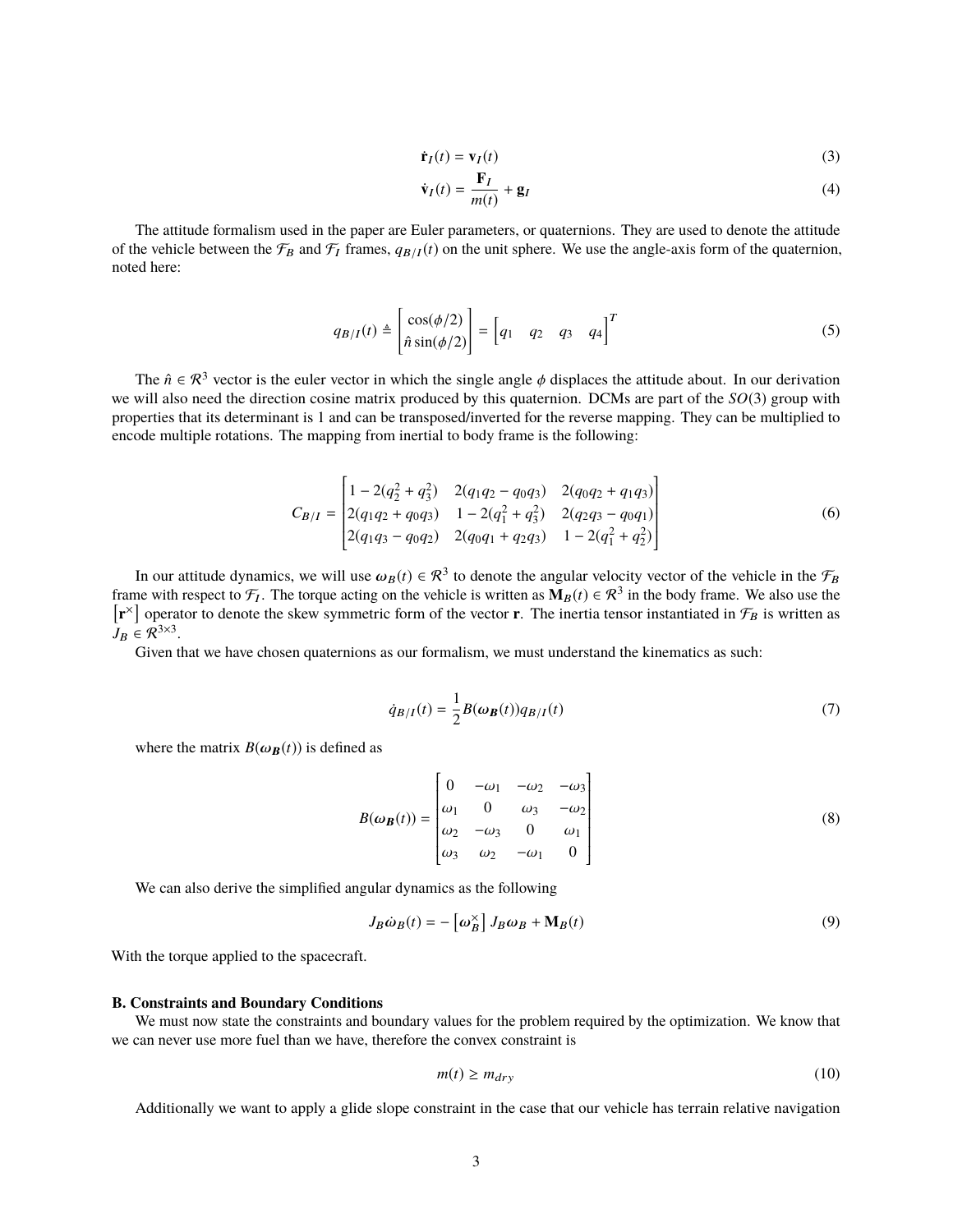$$
\dot{\mathbf{r}}_I(t) = \mathbf{v}_I(t) \tag{3}
$$

$$
\dot{\mathbf{v}}_I(t) = \frac{\mathbf{F}_I}{m(t)} + \mathbf{g}_I \tag{4}
$$

The attitude formalism used in the paper are Euler parameters, or quaternions. They are used to denote the attitude of the vehicle between the  $\mathcal{F}_B$  and  $\mathcal{F}_I$  frames,  $q_{B/I}(t)$  on the unit sphere. We use the angle-axis form of the quaternion, noted here:

$$
q_{B/I}(t) \triangleq \begin{bmatrix} \cos(\phi/2) \\ \hat{n}\sin(\phi/2) \end{bmatrix} = \begin{bmatrix} q_1 & q_2 & q_3 & q_4 \end{bmatrix}^T
$$
 (5)

The  $\hat{n} \in \mathcal{R}^3$  vector is the euler vector in which the single angle  $\phi$  displaces the attitude about. In our derivation we will also need the direction cosine matrix produced by this quaternion. DCMs are part of the *SO*(3) group with properties that its determinant is 1 and can be transposed/inverted for the reverse mapping. They can be multiplied to encode multiple rotations. The mapping from inertial to body frame is the following:

$$
C_{B/I} = \begin{bmatrix} 1 - 2(q_2^2 + q_3^2) & 2(q_1q_2 - q_0q_3) & 2(q_0q_2 + q_1q_3) \\ 2(q_1q_2 + q_0q_3) & 1 - 2(q_1^2 + q_3^2) & 2(q_2q_3 - q_0q_1) \\ 2(q_1q_3 - q_0q_2) & 2(q_0q_1 + q_2q_3) & 1 - 2(q_1^2 + q_2^2) \end{bmatrix}
$$
(6)

In our attitude dynamics, we will use  $\omega_B(t) \in \mathcal{R}^3$  to denote the angular velocity vector of the vehicle in the  $\mathcal{F}_B$ <br>ne with respect to  $\mathcal{F}_t$ . The torque acting on the vehicle is written as  $\mathbf{M}_D(t) \in \mathcal{R}$ frame with respect to  $\mathcal{F}_I$ . The torque acting on the vehicle is written as  $\mathbf{M}_B(t) \in \mathcal{R}^3$  in the body frame. We also use the  $\left[\mathbf{r}^{\times}\right]$  operator to denote the skew symmetric form of the vector **r**. The inertia tensor instantiated in  $\mathcal{F}_B$  is written as  $J_B \in \mathcal{R}^{3 \times 3}$ .

Given that we have chosen quaternions as our formalism, we must understand the kinematics as such:

$$
\dot{q}_{B/I}(t) = \frac{1}{2}B(\omega_B(t))q_{B/I}(t) \tag{7}
$$

Í

where the matrix  $B(\omega_B(t))$  is defined as

$$
B(\omega_B(t)) = \begin{bmatrix} 0 & -\omega_1 & -\omega_2 & -\omega_3 \\ \omega_1 & 0 & \omega_3 & -\omega_2 \\ \omega_2 & -\omega_3 & 0 & \omega_1 \\ \omega_3 & \omega_2 & -\omega_1 & 0 \end{bmatrix}
$$
 (8)

We can also derive the simplified angular dynamics as the following

Ī

$$
J_B \dot{\omega}_B(t) = -\left[\omega_B^{\times}\right] J_B \omega_B + \mathbf{M}_B(t) \tag{9}
$$

With the torque applied to the spacecraft.

#### **B. Constraints and Boundary Conditions**

We must now state the constraints and boundary values for the problem required by the optimization. We know that we can never use more fuel than we have, therefore the convex constraint is

$$
m(t) \ge m_{dry} \tag{10}
$$

Additionally we want to apply a glide slope constraint in the case that our vehicle has terrain relative navigation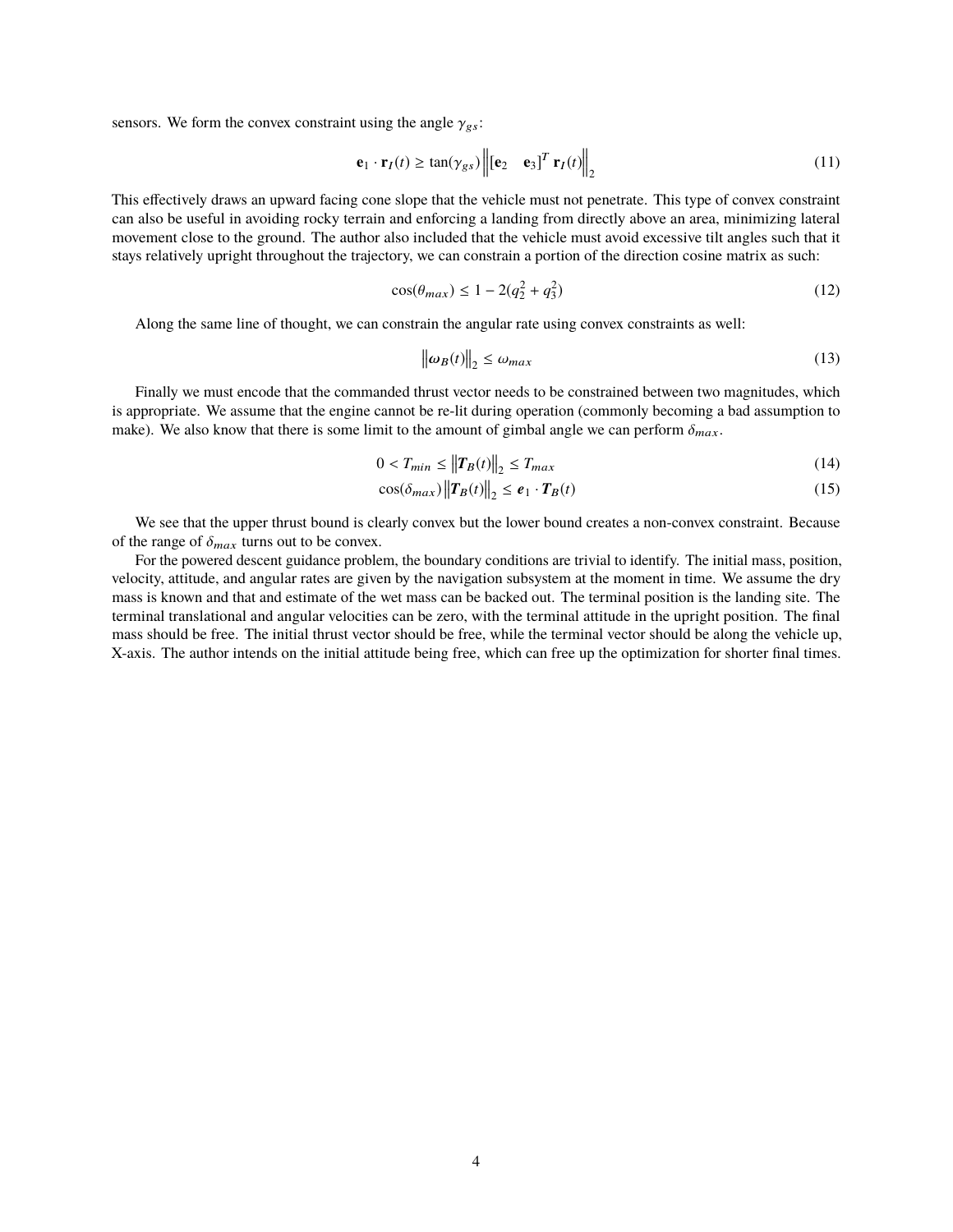sensors. We form the convex constraint using the angle  $\gamma_{gs}$ :

$$
\mathbf{e}_1 \cdot \mathbf{r}_I(t) \ge \tan(\gamma_{gs}) \left\| \begin{bmatrix} \mathbf{e}_2 & \mathbf{e}_3 \end{bmatrix}^T \mathbf{r}_I(t) \right\|_2 \tag{11}
$$

This effectively draws an upward facing cone slope that the vehicle must not penetrate. This type of convex constraint can also be useful in avoiding rocky terrain and enforcing a landing from directly above an area, minimizing lateral movement close to the ground. The author also included that the vehicle must avoid excessive tilt angles such that it stays relatively upright throughout the trajectory, we can constrain a portion of the direction cosine matrix as such:

$$
\cos(\theta_{max}) \le 1 - 2(q_2^2 + q_3^2) \tag{12}
$$

Along the same line of thought, we can constrain the angular rate using convex constraints as well:

$$
\|\omega_B(t)\|_2 \le \omega_{max} \tag{13}
$$

Finally we must encode that the commanded thrust vector needs to be constrained between two magnitudes, which is appropriate. We assume that the engine cannot be re-lit during operation (commonly becoming a bad assumption to make). We also know that there is some limit to the amount of gimbal angle we can perform  $\delta_{max}$ .

$$
0 < T_{min} \le \|T_B(t)\|_2 \le T_{max} \tag{14}
$$

$$
\cos(\delta_{max}) \left\| \mathbf{T}_B(t) \right\|_2 \le \boldsymbol{e}_1 \cdot \mathbf{T}_B(t) \tag{15}
$$

We see that the upper thrust bound is clearly convex but the lower bound creates a non-convex constraint. Because of the range of  $\delta_{max}$  turns out to be convex.

For the powered descent guidance problem, the boundary conditions are trivial to identify. The initial mass, position, velocity, attitude, and angular rates are given by the navigation subsystem at the moment in time. We assume the dry mass is known and that and estimate of the wet mass can be backed out. The terminal position is the landing site. The terminal translational and angular velocities can be zero, with the terminal attitude in the upright position. The final mass should be free. The initial thrust vector should be free, while the terminal vector should be along the vehicle up, X-axis. The author intends on the initial attitude being free, which can free up the optimization for shorter final times.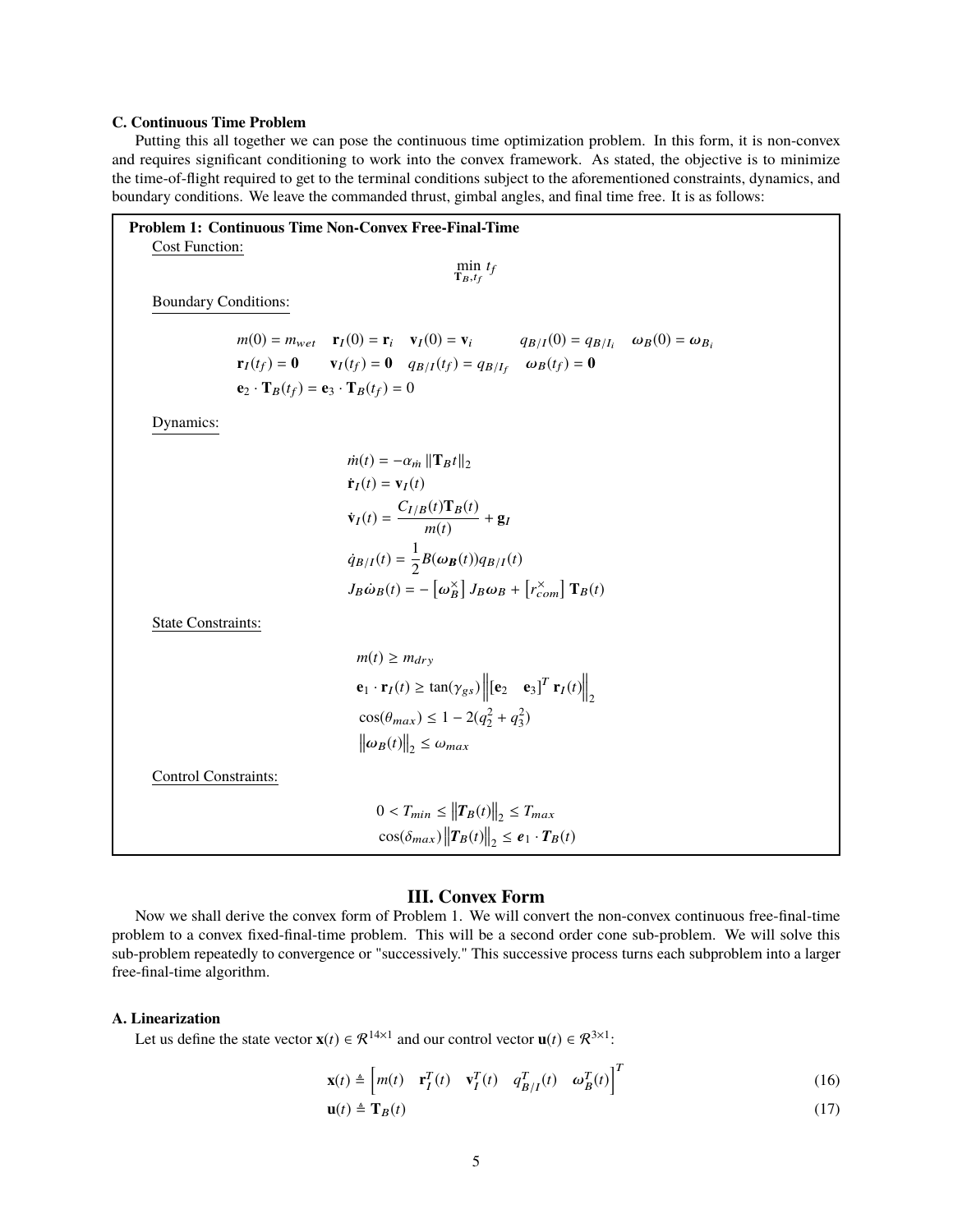## **C. Continuous Time Problem**

Putting this all together we can pose the continuous time optimization problem. In this form, it is non-convex and requires significant conditioning to work into the convex framework. As stated, the objective is to minimize the time-of-flight required to get to the terminal conditions subject to the aforementioned constraints, dynamics, and boundary conditions. We leave the commanded thrust, gimbal angles, and final time free. It is as follows:

| <b>Problem 1: Continuous Time Non-Convex Free-Final-Time</b>                                                                             |  |  |  |  |  |  |
|------------------------------------------------------------------------------------------------------------------------------------------|--|--|--|--|--|--|
| <b>Cost Function:</b>                                                                                                                    |  |  |  |  |  |  |
| $\min_{\mathbf{T}_B,t_f} t_f$                                                                                                            |  |  |  |  |  |  |
|                                                                                                                                          |  |  |  |  |  |  |
| <b>Boundary Conditions:</b>                                                                                                              |  |  |  |  |  |  |
| $m(0) = m_{wet}$ $\mathbf{r}_I(0) = \mathbf{r}_i$ $\mathbf{v}_I(0) = \mathbf{v}_i$ $q_{B/I}(0) = q_{B/I_i}$ $\omega_B(0) = \omega_{B_i}$ |  |  |  |  |  |  |
| $\mathbf{r}_I(t_f) = \mathbf{0}$ $\mathbf{v}_I(t_f) = \mathbf{0}$ $q_{B/I}(t_f) = q_{B/I_f}$ $\omega_B(t_f) = \mathbf{0}$                |  |  |  |  |  |  |
|                                                                                                                                          |  |  |  |  |  |  |
| $\mathbf{e}_2 \cdot \mathbf{T}_B(t_f) = \mathbf{e}_3 \cdot \mathbf{T}_B(t_f) = 0$                                                        |  |  |  |  |  |  |
| Dynamics:                                                                                                                                |  |  |  |  |  |  |
|                                                                                                                                          |  |  |  |  |  |  |
| $\dot{m}(t) = -\alpha_{m}   \mathbf{T}_{B}t  _{2}$                                                                                       |  |  |  |  |  |  |
| $\dot{\mathbf{r}}_I(t) = \mathbf{v}_I(t)$                                                                                                |  |  |  |  |  |  |
|                                                                                                                                          |  |  |  |  |  |  |
| $\dot{\mathbf{v}}_I(t) = \frac{C_{I/B}(t)\mathbf{T}_B(t)}{m(t)} + \mathbf{g}_I$                                                          |  |  |  |  |  |  |
| $\dot{q}_{B/I}(t) = \frac{1}{2}B(\omega_B(t))q_{B/I}(t)$                                                                                 |  |  |  |  |  |  |
| $J_B\dot{\omega}_B(t) = -\left[\omega_B^{\times}\right]J_B\omega_B + \left[r_{com}^{\times}\right]T_B(t)$                                |  |  |  |  |  |  |
| <b>State Constraints:</b>                                                                                                                |  |  |  |  |  |  |
| $m(t) \geq m_{dry}$                                                                                                                      |  |  |  |  |  |  |
| $\mathbf{e}_1 \cdot \mathbf{r}_I(t) \ge \tan(\gamma_{gs}) \left\  [\mathbf{e}_2 \quad \mathbf{e}_3]^T \mathbf{r}_I(t) \right\ _{\infty}$ |  |  |  |  |  |  |
| $\cos(\theta_{max}) \leq 1 - 2(q_2^2 + q_3^2)$                                                                                           |  |  |  |  |  |  |
| $\ \omega_B(t)\ _{2} \leq \omega_{max}$                                                                                                  |  |  |  |  |  |  |
|                                                                                                                                          |  |  |  |  |  |  |
| Control Constraints:                                                                                                                     |  |  |  |  |  |  |
| $0 < T_{min} \leq   T_B(t)  _2 \leq T_{max}$                                                                                             |  |  |  |  |  |  |
| $\cos(\delta_{max})   T_B(t)  _2 \leq e_1 \cdot T_B(t)$                                                                                  |  |  |  |  |  |  |
|                                                                                                                                          |  |  |  |  |  |  |

## **III. Convex Form**

Now we shall derive the convex form of Problem 1. We will convert the non-convex continuous free-final-time problem to a convex fixed-final-time problem. This will be a second order cone sub-problem. We will solve this sub-problem repeatedly to convergence or "successively." This successive process turns each subproblem into a larger free-final-time algorithm.

## **A. Linearization**

Let us define the state vector  $\mathbf{x}(t) \in \mathcal{R}^{14 \times 1}$  and our control vector  $\mathbf{u}(t) \in \mathcal{R}^{3 \times 1}$ :

$$
\mathbf{x}(t) \triangleq \begin{bmatrix} m(t) & \mathbf{r}_I^T(t) & \mathbf{v}_I^T(t) & q_{B/I}^T(t) & \omega_B^T(t) \end{bmatrix}^T
$$
 (16)

$$
\mathbf{u}(t) \triangleq \mathbf{T}_B(t) \tag{17}
$$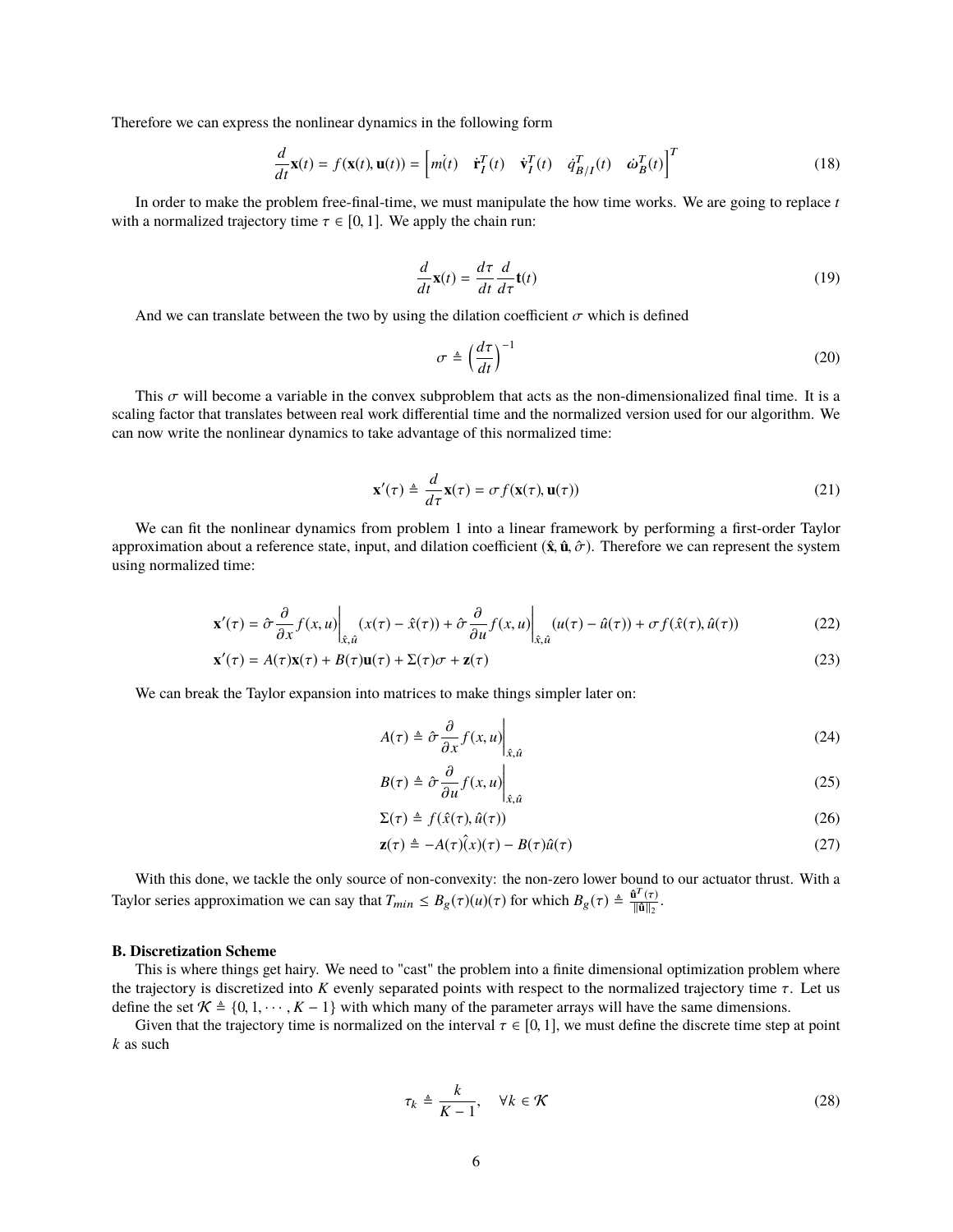Therefore we can express the nonlinear dynamics in the following form

$$
\frac{d}{dt}\mathbf{x}(t) = f(\mathbf{x}(t), \mathbf{u}(t)) = \begin{bmatrix} m(t) & \dot{\mathbf{r}}_I^T(t) & \dot{\mathbf{v}}_I^T(t) & \dot{q}_{B/I}^T(t) & \dot{\omega}_B^T(t) \end{bmatrix}^T
$$
(18)

In order to make the problem free-final-time, we must manipulate the how time works. We are going to replace *t* with a normalized trajectory time  $\tau \in [0, 1]$ . We apply the chain run:

$$
\frac{d}{dt}\mathbf{x}(t) = \frac{d\tau}{dt}\frac{d}{d\tau}\mathbf{t}(t)
$$
\n(19)

And we can translate between the two by using the dilation coefficient  $\sigma$  which is defined

$$
\sigma \triangleq \left(\frac{d\tau}{dt}\right)^{-1} \tag{20}
$$

This  $\sigma$  will become a variable in the convex subproblem that acts as the non-dimensionalized final time. It is a scaling factor that translates between real work differential time and the normalized version used for our algorithm. We can now write the nonlinear dynamics to take advantage of this normalized time:

$$
\mathbf{x}'(\tau) \triangleq \frac{d}{d\tau} \mathbf{x}(\tau) = \sigma f(\mathbf{x}(\tau), \mathbf{u}(\tau))
$$
\n(21)

We can fit the nonlinear dynamics from problem 1 into a linear framework by performing a first-order Taylor approximation about a reference state, input, and dilation coefficient  $(\hat{\mathbf{x}}, \hat{\mathbf{u}}, \hat{\sigma})$ . Therefore we can represent the system using normalized time:

$$
\mathbf{x}'(\tau) = \hat{\sigma} \frac{\partial}{\partial x} f(x, u) \bigg|_{\hat{x}, \hat{u}} (x(\tau) - \hat{x}(\tau)) + \hat{\sigma} \frac{\partial}{\partial u} f(x, u) \bigg|_{\hat{x}, \hat{u}} (u(\tau) - \hat{u}(\tau)) + \sigma f(\hat{x}(\tau), \hat{u}(\tau))
$$
(22)

$$
\mathbf{x}'(\tau) = A(\tau)\mathbf{x}(\tau) + B(\tau)\mathbf{u}(\tau) + \Sigma(\tau)\sigma + \mathbf{z}(\tau)
$$
\n(23)

We can break the Taylor expansion into matrices to make things simpler later on:

$$
A(\tau) \triangleq \left. \hat{\sigma} \frac{\partial}{\partial x} f(x, u) \right|_{\hat{x}, \hat{u}}
$$
 (24)

$$
B(\tau) \triangleq \left. \hat{\sigma} \frac{\partial}{\partial u} f(x, u) \right|_{\hat{x}, \hat{u}}
$$
 (25)

$$
\Sigma(\tau) \triangleq f(\hat{x}(\tau), \hat{u}(\tau)) \tag{26}
$$

$$
\mathbf{z}(\tau) \triangleq -A(\tau)\hat{\mathbf{x}}(\tau) - B(\tau)\hat{\mathbf{u}}(\tau) \tag{27}
$$

With this done, we tackle the only source of non-convexity: the non-zero lower bound to our actuator thrust. With a Taylor series approximation we can say that  $T_{min} \leq B_g(\tau)(u)(\tau)$  for which  $B_g(\tau) \triangleq \frac{\hat{u}^T(\tau)}{\|\hat{u}\|_2}$ .

#### **B. Discretization Scheme**

This is where things get hairy. We need to "cast" the problem into a finite dimensional optimization problem where the trajectory is discretized into *K* evenly separated points with respect to the normalized trajectory time  $\tau$ . Let us define the set  $\mathcal{K} \triangleq \{0, 1, \dots, K - 1\}$  with which many of the parameter arrays will have the same dimensions.

Given that the trajectory time is normalized on the interval  $\tau \in [0, 1]$ , we must define the discrete time step at point *k* as such

$$
\tau_k \triangleq \frac{k}{K-1}, \quad \forall k \in \mathcal{K}
$$
\n(28)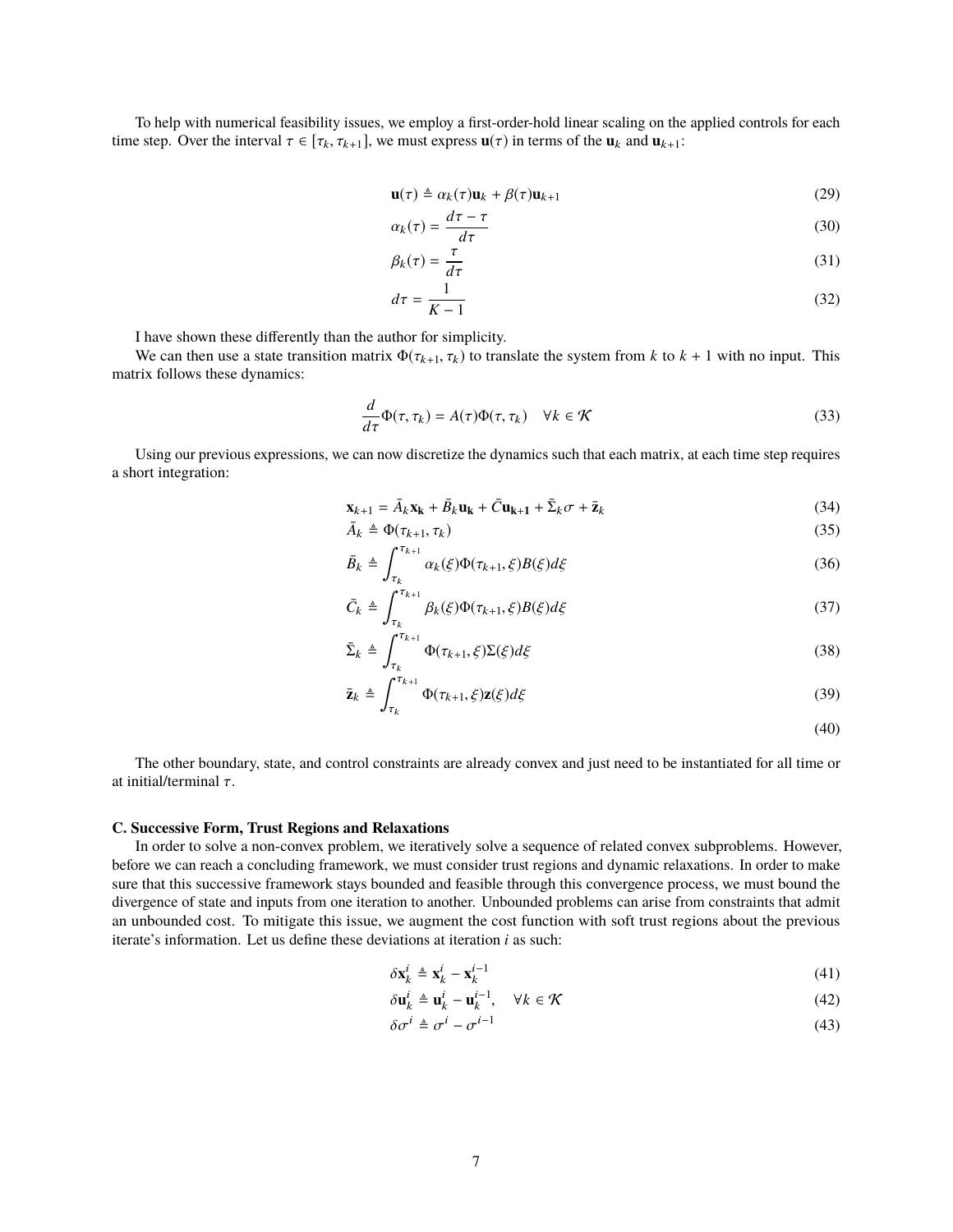To help with numerical feasibility issues, we employ a first-order-hold linear scaling on the applied controls for each time step. Over the interval  $\tau \in [\tau_k, \tau_{k+1}]$ , we must express  $\mathbf{u}(\tau)$  in terms of the  $\mathbf{u}_k$  and  $\mathbf{u}_{k+1}$ :

$$
\mathbf{u}(\tau) \triangleq \alpha_k(\tau)\mathbf{u}_k + \beta(\tau)\mathbf{u}_{k+1} \tag{29}
$$

$$
\alpha_k(\tau) = \frac{d\tau - \tau}{d\tau} \tag{30}
$$

$$
\beta_k(\tau) = \frac{\tau}{d\tau} \tag{31}
$$

$$
d\tau = \frac{1}{K - 1} \tag{32}
$$

I have shown these differently than the author for simplicity.

We can then use a state transition matrix  $\Phi(\tau_{k+1}, \tau_k)$  to translate the system from *k* to  $k + 1$  with no input. This matrix follows these dynamics:

$$
\frac{d}{d\tau}\Phi(\tau,\tau_k) = A(\tau)\Phi(\tau,\tau_k) \quad \forall k \in \mathcal{K}
$$
\n(33)

Using our previous expressions, we can now discretize the dynamics such that each matrix, at each time step requires a short integration:

$$
\mathbf{x}_{k+1} = \bar{A}_k \mathbf{x}_k + \bar{B}_k \mathbf{u}_k + \bar{C} \mathbf{u}_{k+1} + \bar{\Sigma}_k \sigma + \bar{\mathbf{z}}_k
$$
(34)

$$
\bar{A}_k \triangleq \Phi(\tau_{k+1}, \tau_k) \tag{35}
$$

$$
\bar{B}_k \triangleq \int_{\tau_k}^{\tau_{k+1}} \alpha_k(\xi) \Phi(\tau_{k+1}, \xi) B(\xi) d\xi \tag{36}
$$

$$
\bar{C}_k \triangleq \int_{\tau_k}^{\tau_{k+1}} \beta_k(\xi) \Phi(\tau_{k+1}, \xi) B(\xi) d\xi \tag{37}
$$

$$
\bar{\Sigma}_k \triangleq \int_{\tau_k}^{\tau_{k+1}} \Phi(\tau_{k+1}, \xi) \Sigma(\xi) d\xi \tag{38}
$$

$$
\bar{\mathbf{z}}_k \triangleq \int_{\tau_k}^{\tau_{k+1}} \Phi(\tau_{k+1}, \xi) \mathbf{z}(\xi) d\xi \tag{39}
$$

$$
(40)
$$

The other boundary, state, and control constraints are already convex and just need to be instantiated for all time or at initial/terminal  $\tau$ .

#### **C. Successive Form, Trust Regions and Relaxations**

In order to solve a non-convex problem, we iteratively solve a sequence of related convex subproblems. However, before we can reach a concluding framework, we must consider trust regions and dynamic relaxations. In order to make sure that this successive framework stays bounded and feasible through this convergence process, we must bound the divergence of state and inputs from one iteration to another. Unbounded problems can arise from constraints that admit an unbounded cost. To mitigate this issue, we augment the cost function with soft trust regions about the previous iterate's information. Let us define these deviations at iteration *i* as such:

$$
\delta \mathbf{x}_{k}^{i} \triangleq \mathbf{x}_{k}^{i} - \mathbf{x}_{k}^{i-1} \tag{41}
$$

$$
\delta \mathbf{u}_k^i \triangleq \mathbf{u}_k^i - \mathbf{u}_k^{i-1}, \quad \forall k \in \mathcal{K}
$$
\n(42)

$$
\delta \sigma^i \triangleq \sigma^i - \sigma^{i-1} \tag{43}
$$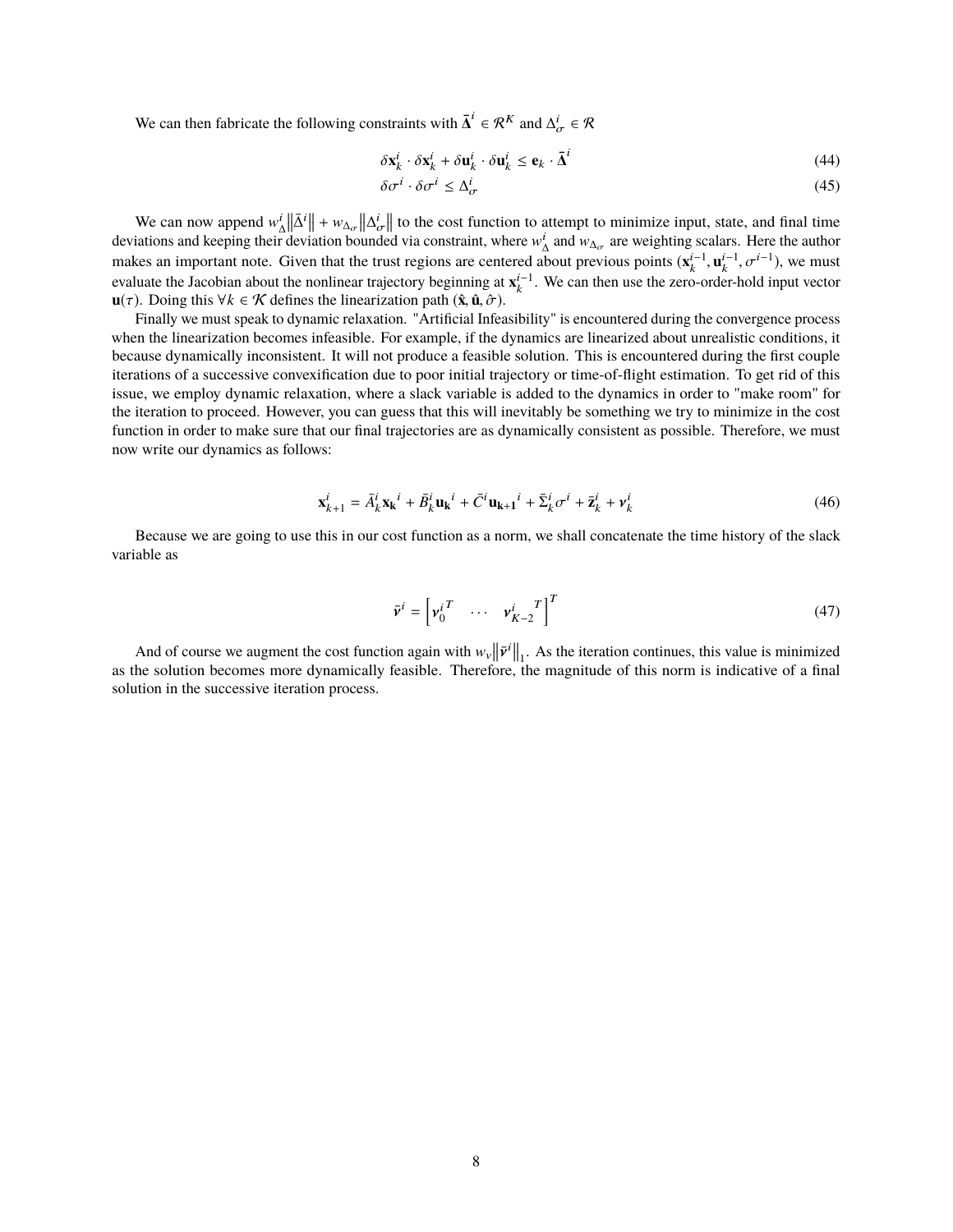We can then fabricate the following constraints with  $\bar{\Delta}^i \in \mathcal{R}^K$  and  $\Delta^i_{\sigma} \in \mathcal{R}$ 

$$
\delta \mathbf{x}_{k}^{i} \cdot \delta \mathbf{x}_{k}^{i} + \delta \mathbf{u}_{k}^{i} \cdot \delta \mathbf{u}_{k}^{i} \leq \mathbf{e}_{k} \cdot \overline{\mathbf{\Delta}}^{i}
$$
\n(44)

$$
\delta \sigma^i \cdot \delta \sigma^i \le \Delta^i_{\sigma} \tag{45}
$$

We can now append  $w_{\Delta}^{i} || \bar{\Delta}^{i} || + w_{\Delta\sigma} || \Delta^{i} \bar{\sigma} ||$  to the cost function to attempt to minimize input, state, and final time<br>istigns and keeping their deviation hounded via constraint, where we and we are weighting deviations and keeping their deviation bounded via constraint, where  $w^i_\Delta$  and  $w_{\Delta_\sigma}$  are weighting scalars. Here the author makes an important note. Given that the trust regions are centered about previous points  $(\mathbf{x}_k^{i-1}, \mathbf{u}_k^{i-1}, \sigma^{i-1})$ , we must<br>gynthete the Isoshian shout the nonlinear trajectory beginning at  $\mathbf{x}^{i-1}$ . We see the evaluate the Jacobian about the nonlinear trajectory beginning at  $\mathbf{x}_k^{i-1}$ . We can then use the zero-order-hold input vector **u**(τ). Doing this  $\forall k \in \mathcal{K}$  defines the linearization path  $(\hat{\mathbf{x}}, \hat{\mathbf{u}}, \hat{\sigma})$ .

Finally we must speak to dynamic relaxation. "Artificial Infeasibility" is encountered during the convergence process when the linearization becomes infeasible. For example, if the dynamics are linearized about unrealistic conditions, it because dynamically inconsistent. It will not produce a feasible solution. This is encountered during the first couple iterations of a successive convexification due to poor initial trajectory or time-of-flight estimation. To get rid of this issue, we employ dynamic relaxation, where a slack variable is added to the dynamics in order to "make room" for the iteration to proceed. However, you can guess that this will inevitably be something we try to minimize in the cost function in order to make sure that our final trajectories are as dynamically consistent as possible. Therefore, we must now write our dynamics as follows:

$$
\mathbf{x}_{k+1}^i = \bar{A}_k^i \mathbf{x_k}^i + \bar{B}_k^i \mathbf{u_k}^i + \bar{C}^i \mathbf{u_{k+1}}^i + \bar{\Sigma}_k^i \sigma^i + \bar{\mathbf{z}}_k^i + \mathbf{v}_k^i
$$
 (46)

Because we are going to use this in our cost function as a norm, we shall concatenate the time history of the slack variable as

$$
\bar{\mathbf{v}}^i = \begin{bmatrix} \mathbf{v}_0^i{}^T & \cdots & \mathbf{v}_{K-2}^i{}^T \end{bmatrix}^T \tag{47}
$$

And of course we augment the cost function again with  $w_y ||\vec{v}||_1$ . As the iteration continues, this value is minimized<br>be solution becomes more dynamically feasible. Therefore, the magnitude of this norm is indicative o as the solution becomes more dynamically feasible. Therefore, the magnitude of this norm is indicative of a final solution in the successive iteration process.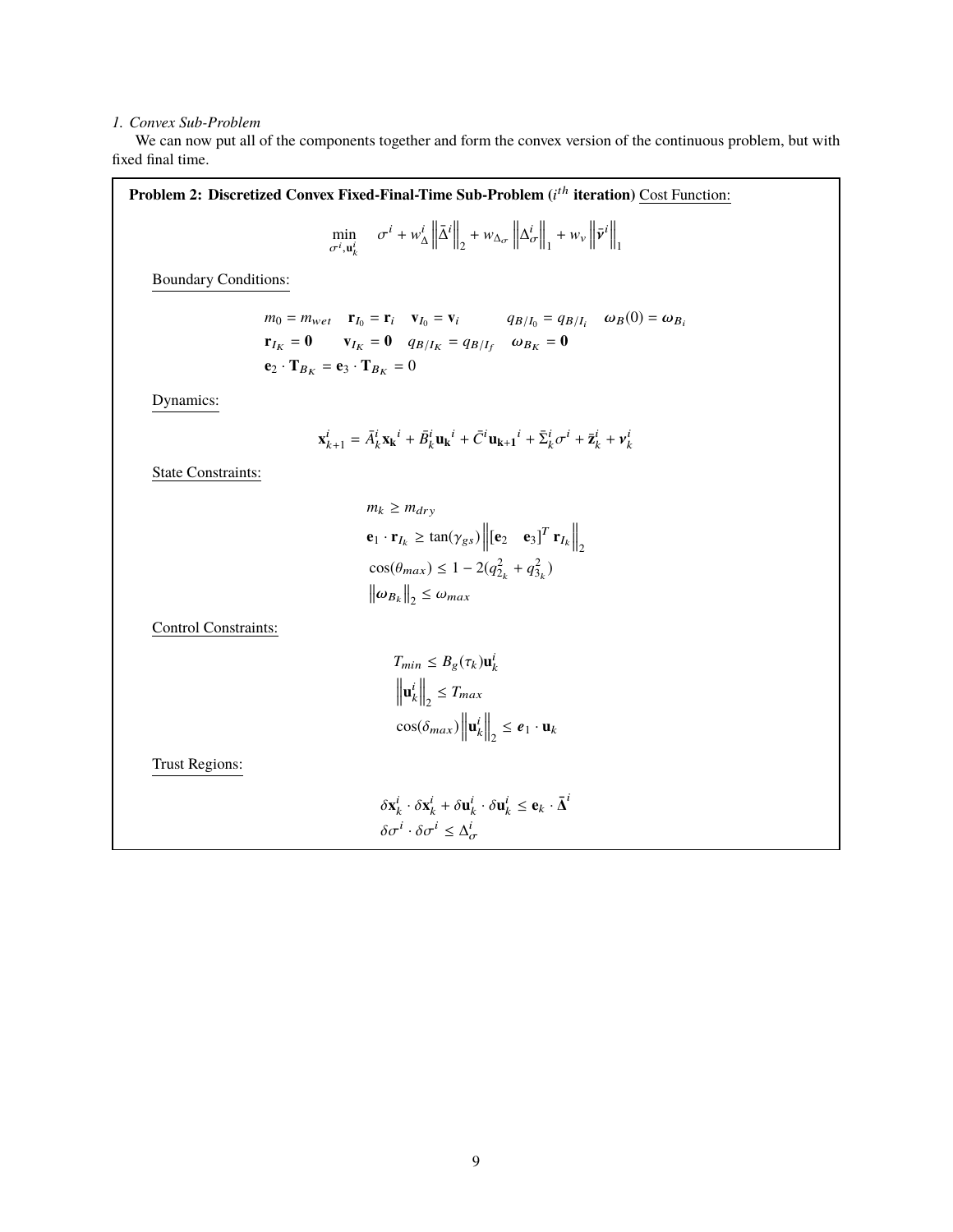### *1. Convex Sub-Problem*

We can now put all of the components together and form the convex version of the continuous problem, but with fixed final time.

Problem 2: Discretized Convex Fixed-Final-Time Sub-Problem (*i<sup>th</sup>* iteration) Cost Function: min  $\min_{\sigma^i, \mathbf{u}_k^i} \quad \sigma^i + w_\Delta^i \left\| \bar{\Delta}^i \right\|_2 + w_{\Delta_{\sigma}} \left\| \Delta_{\sigma}^i \right\|_2$  $\left\| \cdot + w_{v} \right\| \bar{v}^{i} \right\|_{1}$ Boundary Conditions:  $m_0 = m_{wet}$  **r**<sub>I0</sub> = **r**<sub>i</sub> **v**<sub>I0</sub> = **v**<sub>i</sub> *q*B/I<sub>0</sub> = *q*B/I<sub>i</sub>  $\omega_B(0) = \omega_{B_i}$  $\mathbf{r}_{I_K} = \mathbf{0} \qquad \mathbf{v}_{I_K} = \mathbf{0} \quad q_{B/I_K} = q_{B/I_f} \quad \omega_{B_K} = \mathbf{0}$  $\mathbf{e}_2 \cdot \mathbf{T}_{B_K} = \mathbf{e}_3 \cdot \mathbf{T}_{B_K} = 0$ Dynamics:  $\mathbf{x}_{k+1}^i = \bar{A}_k^i \mathbf{x_k}^i + \bar{B}_k^i \mathbf{u_k}^i + \bar{C}^i \mathbf{u_{k+1}}^i + \bar{\Sigma}_k^i \sigma^i + \bar{\mathbf{z}}_k^i + \mathbf{v}_k^i$ State Constraints:  $m_k \geq m_{dry}$  $\mathbf{e}_1 \cdot \mathbf{r}_{I_k} \geq \tan(\gamma_{gs}) \left\| \begin{bmatrix} \mathbf{e}_2 & \mathbf{e}_3 \end{bmatrix}^T \mathbf{r}_{I_k} \right\|_2$  $cos(\theta_{max}) \leq 1 - 2(q_{2_k}^2 + q_{3_k}^2)$  $\left\|\omega_{B_k}\right\|_2 \leq \omega_{max}$ Control Constraints:  $T_{min} \leq B_g(\tau_k) \mathbf{u}_k^i$  $\left\|\mathbf{u}_k^i\right\|_2 \leq T_{max}$  $\cos(\delta_{max}) \left\| \mathbf{u}_k^i \right\|_2 \le \mathbf{e}_1 \cdot \mathbf{u}_k$ Trust Regions:  $\delta \mathbf{x}_k^i \cdot \delta \mathbf{x}_k^i + \delta \mathbf{u}_k^i \cdot \delta \mathbf{u}_k^i \le \mathbf{e}_k \cdot \bar{\boldsymbol{\Delta}}^i$ 

$$
\delta \sigma^i \cdot \delta \sigma^i \leq \Delta^i_{\sigma}
$$

σ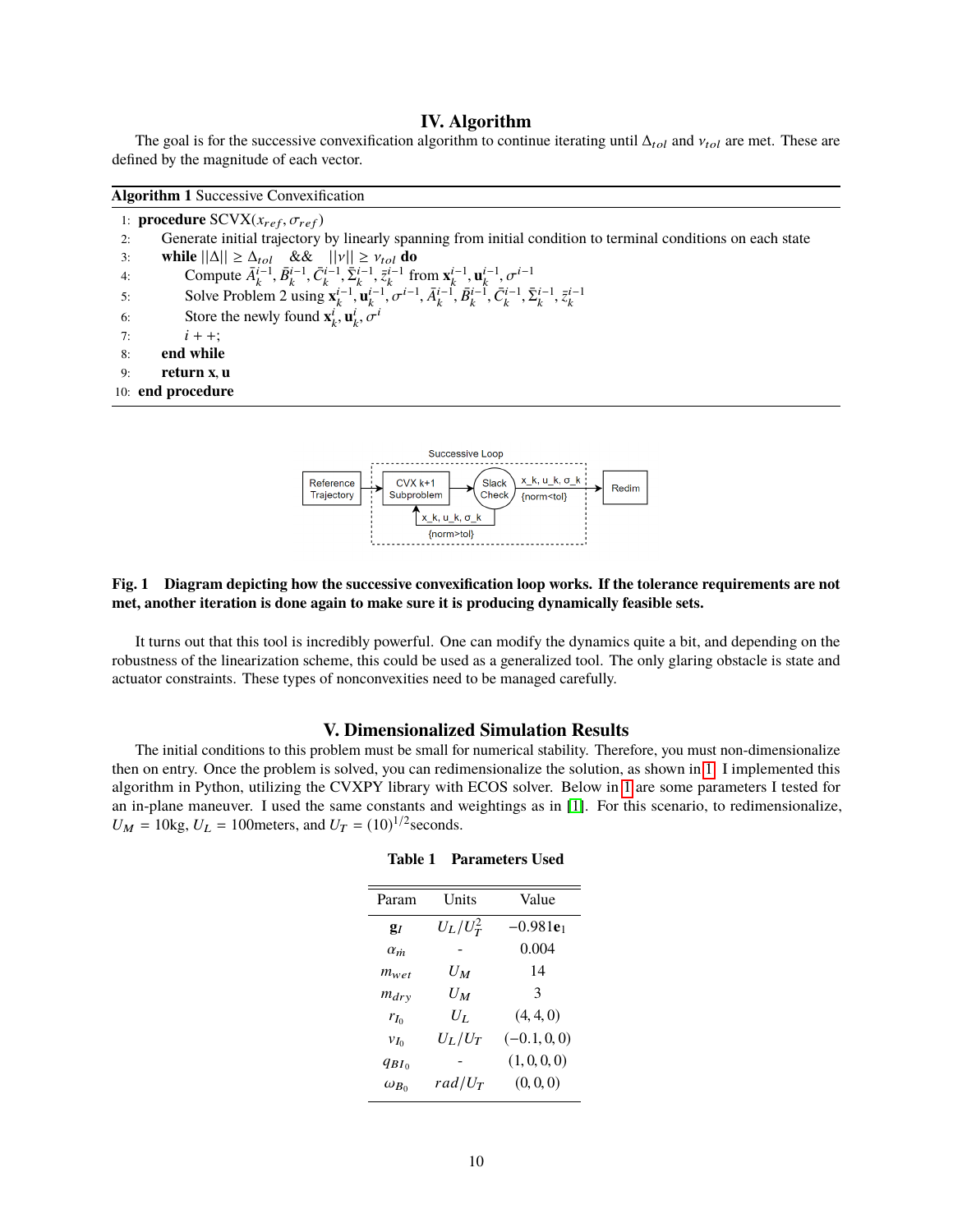# **IV. Algorithm**

The goal is for the successive convexification algorithm to continue iterating until  $\Delta_{tol}$  and  $v_{tol}$  are met. These are defined by the magnitude of each vector.

|    | 1: <b>procedure</b> SCVX( $x_{ref}, \sigma_{ref}$ )                                                                                                                          |  |  |  |  |
|----|------------------------------------------------------------------------------------------------------------------------------------------------------------------------------|--|--|--|--|
| 2: | Generate initial trajectory by linearly spanning from initial condition to terminal conditions on each state                                                                 |  |  |  |  |
| 3: | while $  \Delta   \geq \Delta_{tol}$ && $  v   \geq v_{tol}$ do                                                                                                              |  |  |  |  |
| 4: | Compute $\bar{A}_{k}^{i-1}, \bar{B}_{k}^{i-1}, \bar{C}_{k}^{i-1}, \bar{\Sigma}_{k}^{i-1}, \bar{z}_{k}^{i-1}$ from $\mathbf{x}_{k}^{i-1}, \mathbf{u}_{k}^{i-1}, \sigma^{i-1}$ |  |  |  |  |
| 5: | Solve Problem 2 using ${\bf x}_k^{i-1}, {\bf u}_k^{i-1}, \sigma^{i-1}, \bar{A}_k^{i-1}, \bar{B}_k^{i-1}, \bar{C}_k^{i-1}, \bar{\Sigma}_k^{i-1}, \bar{z}_k^{i-1}$             |  |  |  |  |
| 6: | Store the newly found $\mathbf{x}_k^i, \mathbf{u}_k^i, \sigma^i$                                                                                                             |  |  |  |  |
| 7: | $i + +$ :                                                                                                                                                                    |  |  |  |  |
| 8: | end while                                                                                                                                                                    |  |  |  |  |
| 9: | return x, u                                                                                                                                                                  |  |  |  |  |
|    | 10: end procedure                                                                                                                                                            |  |  |  |  |



# <span id="page-9-0"></span>**Fig. 1 Diagram depicting how the successive convexification loop works. If the tolerance requirements are not met, another iteration is done again to make sure it is producing dynamically feasible sets.**

It turns out that this tool is incredibly powerful. One can modify the dynamics quite a bit, and depending on the robustness of the linearization scheme, this could be used as a generalized tool. The only glaring obstacle is state and actuator constraints. These types of nonconvexities need to be managed carefully.

## **V. Dimensionalized Simulation Results**

<span id="page-9-1"></span>The initial conditions to this problem must be small for numerical stability. Therefore, you must non-dimensionalize then on entry. Once the problem is solved, you can redimensionalize the solution, as shown in [1.](#page-9-0) I implemented this algorithm in Python, utilizing the CVXPY library with ECOS solver. Below in [1](#page-9-1) are some parameters I tested for an in-plane maneuver. I used the same constants and weightings as in [\[1\]](#page-16-0). For this scenario, to redimensionalize,  $U_M = 10$ kg,  $U_L = 100$  meters, and  $U_T = (10)^{1/2}$  seconds.

| Param          | Units       | Value          |
|----------------|-------------|----------------|
| g <sub>i</sub> | $U_L/U_T^2$ | $-0.981e_1$    |
| $\alpha_m$     |             | 0.004          |
| $m_{wet}$      | Uм          | 14             |
| $m_{dry}$      | Uм          | 3              |
| $r_{I_0}$      | Uт          | (4, 4, 0)      |
| $v_{I_0}$      | $U_L/U_T$   | $(-0.1, 0, 0)$ |
| $q_{BI}$       |             | (1, 0, 0, 0)   |
| $\omega_{B_0}$ | $rad/U_T$   | (0, 0, 0)      |

#### **Table 1 Parameters Used**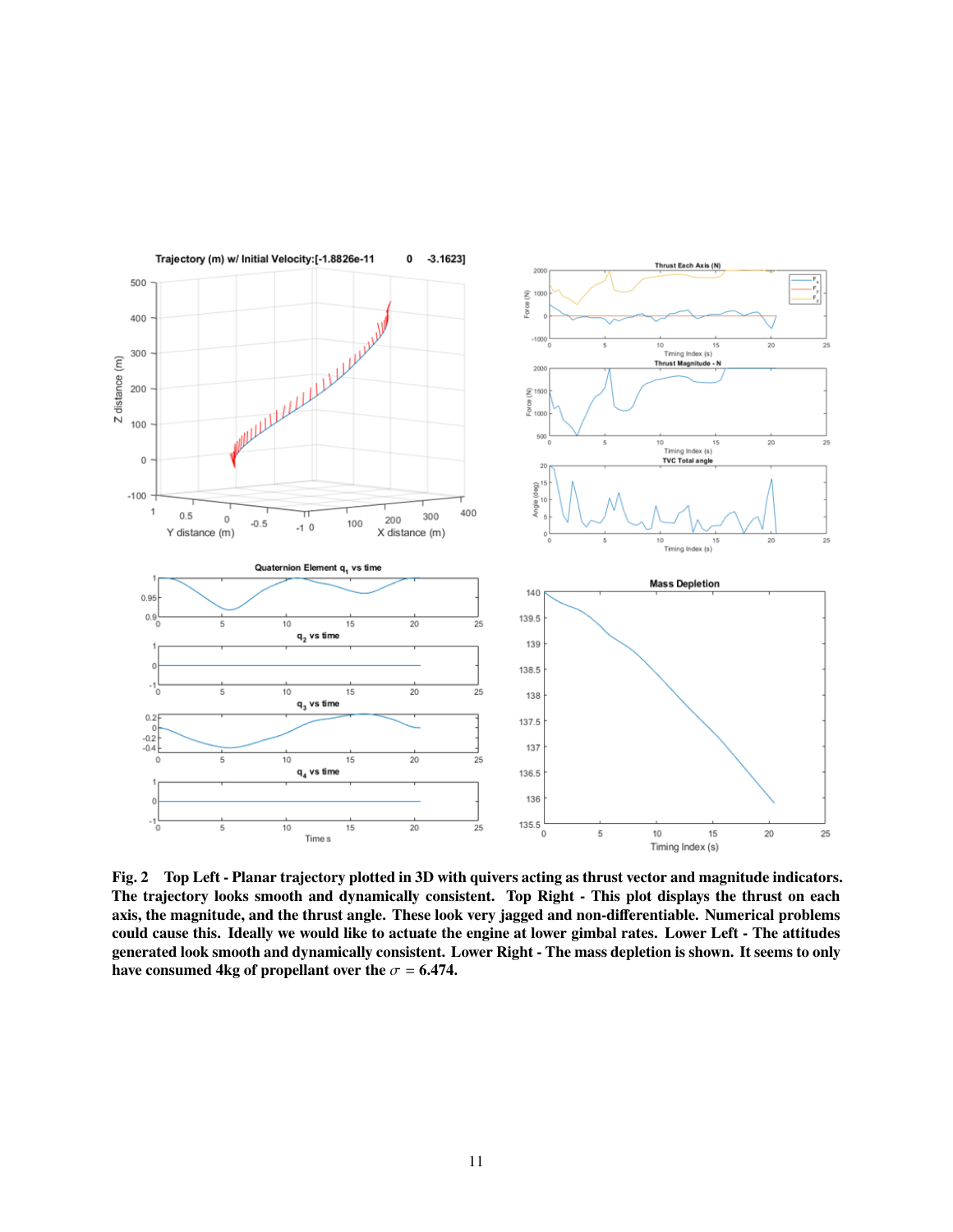

**Fig. 2 Top Left - Planar trajectory plotted in 3D with quivers acting as thrust vector and magnitude indicators. The trajectory looks smooth and dynamically consistent. Top Right - This plot displays the thrust on each axis, the magnitude, and the thrust angle. These look very jagged and non-differentiable. Numerical problems could cause this. Ideally we would like to actuate the engine at lower gimbal rates. Lower Left - The attitudes generated look smooth and dynamically consistent. Lower Right - The mass depletion is shown. It seems to only have consumed 4kg of propellant over the**  $\sigma$  = **6.474.**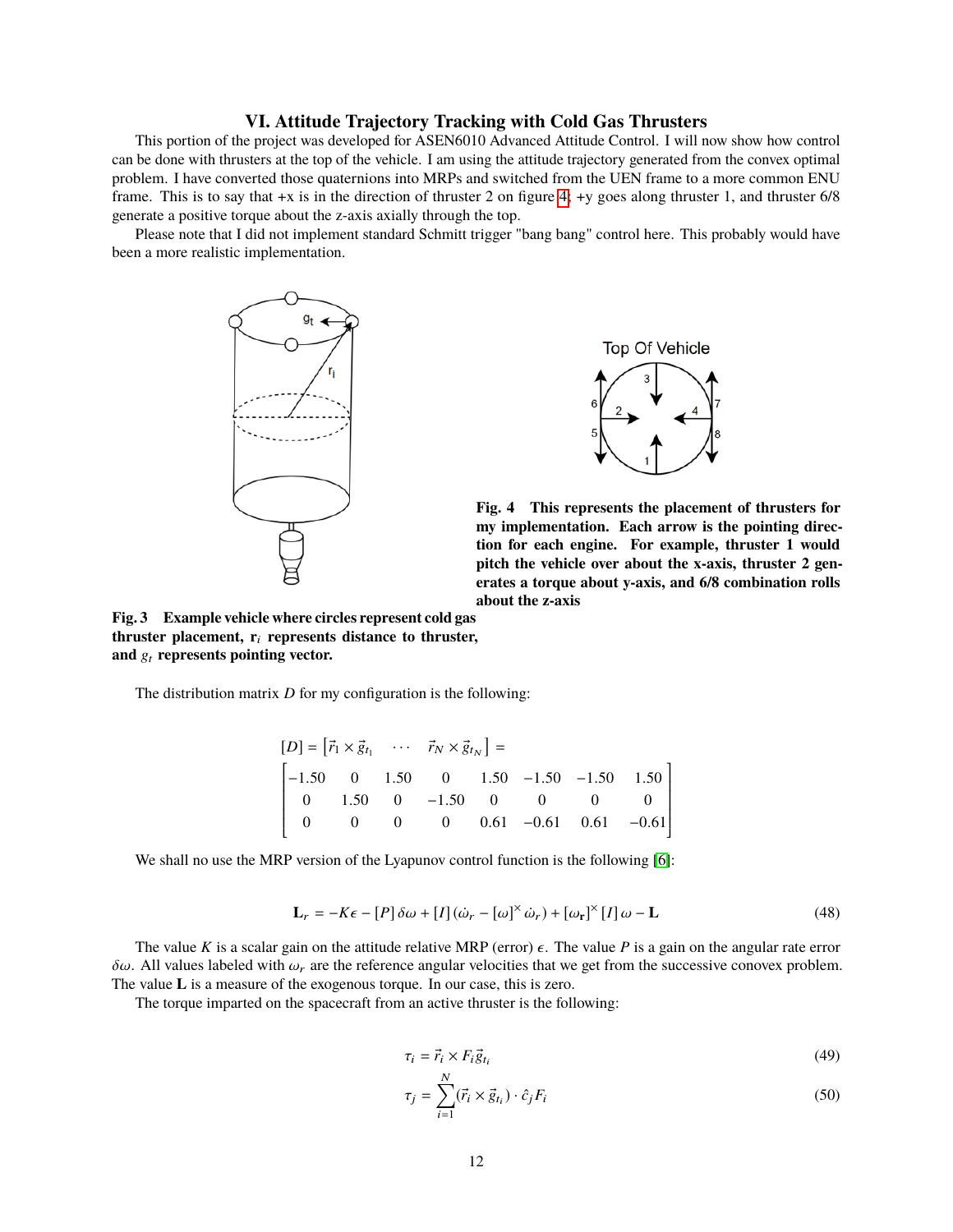# **VI. Attitude Trajectory Tracking with Cold Gas Thrusters**

This portion of the project was developed for ASEN6010 Advanced Attitude Control. I will now show how control can be done with thrusters at the top of the vehicle. I am using the attitude trajectory generated from the convex optimal problem. I have converted those quaternions into MRPs and switched from the UEN frame to a more common ENU frame. This is to say that +x is in the direction of thruster 2 on figure [4;](#page-11-0) +y goes along thruster 1, and thruster 6/8 generate a positive torque about the z-axis axially through the top.

<span id="page-11-0"></span>Please note that I did not implement standard Schmitt trigger "bang bang" control here. This probably would have been a more realistic implementation.





**Fig. 4 This represents the placement of thrusters for my implementation. Each arrow is the pointing direction for each engine. For example, thruster 1 would pitch the vehicle over about the x-axis, thruster 2 generates a torque about y-axis, and 6/8 combination rolls about the z-axis**

Í

**Fig. 3 Example vehicle where circles represent cold gas thruster placement, r**<sup>i</sup> **represents distance to thruster,** and  $g_t$  represents pointing vector.

Ī

The distribution matrix *D* for my configuration is the following:

$$
[D] = [\vec{r}_1 \times \vec{g}_{t_1} \cdots \vec{r}_N \times \vec{g}_{t_N}] =
$$
\n
$$
\begin{bmatrix}\n-1.50 & 0 & 1.50 & 0 & 1.50 & -1.50 & -1.50 & 1.50 \\
0 & 1.50 & 0 & -1.50 & 0 & 0 & 0 & 0 \\
0 & 0 & 0 & 0 & 0.61 & -0.61 & 0.61 & -0.61\n\end{bmatrix}
$$

We shall no use the MRP version of the Lyapunov control function is the following [\[6\]](#page-16-5):

$$
\mathbf{L}_{r} = -K\epsilon - [P]\delta\omega + [I](\dot{\omega}_{r} - [\omega]^{\times}\dot{\omega}_{r}) + [\omega_{r}]^{\times}[I]\omega - \mathbf{L}
$$
\n(48)

The value *K* is a scalar gain on the attitude relative MRP (error)  $\epsilon$ . The value *P* is a gain on the angular rate error  $δω$ . All values labeled with  $ω<sub>r</sub>$  are the reference angular velocities that we get from the successive conovex problem. The value **L** is a measure of the exogenous torque. In our case, this is zero.

The torque imparted on the spacecraft from an active thruster is the following:

$$
\tau_i = \vec{r}_i \times F_i \vec{g}_{t_i} \tag{49}
$$

$$
\tau_j = \sum_{i=1}^N (\vec{r}_i \times \vec{g}_{t_i}) \cdot \hat{c}_j F_i \tag{50}
$$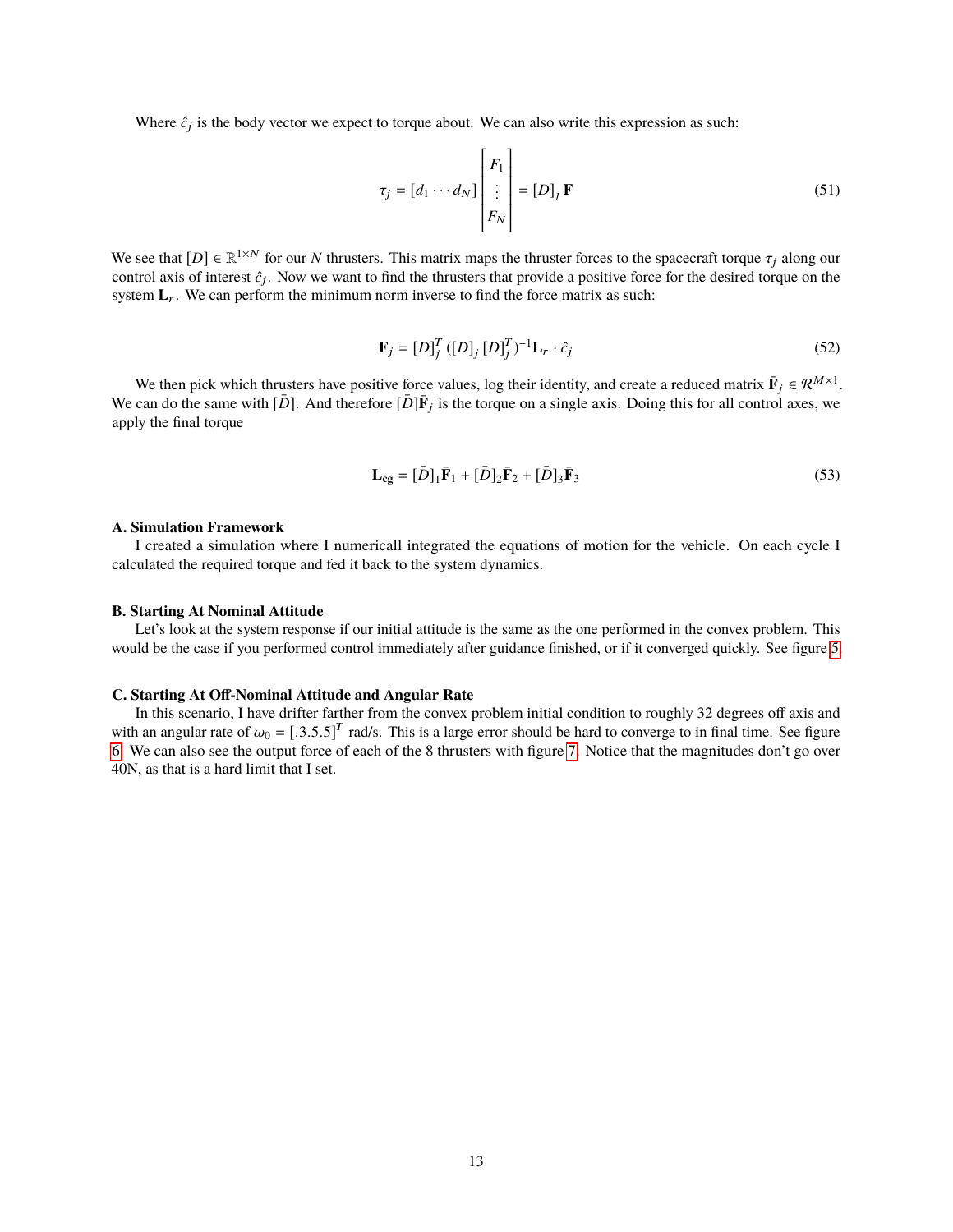Where  $\hat{c}_j$  is the body vector we expect to torque about. We can also write this expression as such:

$$
\tau_j = [d_1 \cdots d_N] \begin{bmatrix} F_1 \\ \vdots \\ F_N \end{bmatrix} = [D]_j \mathbf{F}
$$
 (51)

We see that  $[D] \in \mathbb{R}^{1 \times N}$  for our *N* thrusters. This matrix maps the thruster forces to the spacecraft torque  $\tau_j$  along our control axis of interest  $\hat{\epsilon}$ . Now we want to find the thrusters that provide a positi control axis of interest  $\hat{c}_j$ . Now we want to find the thrusters that provide a positive force for the desired torque on the system  $L_r$ . We can perform the minimum norm inverse to find the force matrix as such:

$$
\mathbf{F}_{j} = [D]_{j}^{T} ([D]_{j} [D]_{j}^{T})^{-1} \mathbf{L}_{r} \cdot \hat{c}_{j}
$$
 (52)

We then pick which thrusters have positive force values, log their identity, and create a reduced matrix  $\bar{F}_j \in \mathcal{R}^{M \times 1}$ . We can do the same with  $[\bar{D}]$ . And therefore  $[\bar{D}]\bar{F}_j$  is the torque on a single axis. Doing this for all control axes, we apply the final torque

$$
\mathbf{L_{cg}} = [\bar{D}]_1 \bar{\mathbf{F}}_1 + [\bar{D}]_2 \bar{\mathbf{F}}_2 + [\bar{D}]_3 \bar{\mathbf{F}}_3 \tag{53}
$$

#### **A. Simulation Framework**

I created a simulation where I numericall integrated the equations of motion for the vehicle. On each cycle I calculated the required torque and fed it back to the system dynamics.

#### **B. Starting At Nominal Attitude**

Let's look at the system response if our initial attitude is the same as the one performed in the convex problem. This would be the case if you performed control immediately after guidance finished, or if it converged quickly. See figure [5.](#page-13-0)

### **C. Starting At Off-Nominal Attitude and Angular Rate**

In this scenario, I have drifter farther from the convex problem initial condition to roughly 32 degrees off axis and with an angular rate of  $\omega_0 = [.3.5.5]^T$  rad/s. This is a large error should be hard to converge to in final time. See figure 6. We can also see the output force of each of the 8 thrusters with figure 7. Notice that the ma [6.](#page-14-0) We can also see the output force of each of the 8 thrusters with figure [7.](#page-15-0) Notice that the magnitudes don't go over 40N, as that is a hard limit that I set.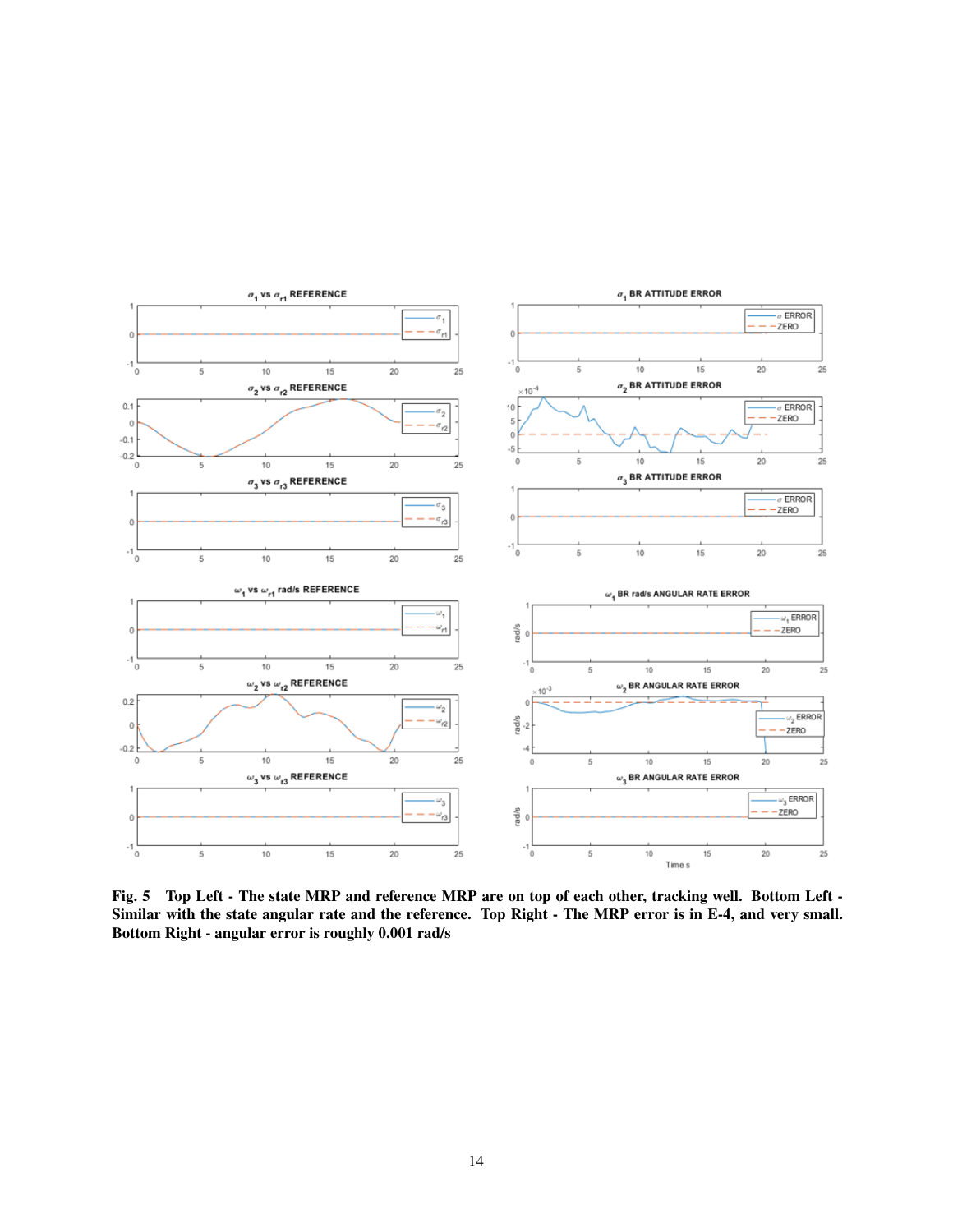<span id="page-13-0"></span>

**Fig. 5 Top Left - The state MRP and reference MRP are on top of each other, tracking well. Bottom Left - Similar with the state angular rate and the reference. Top Right - The MRP error is in E-4, and very small. Bottom Right - angular error is roughly 0.001 rad/s**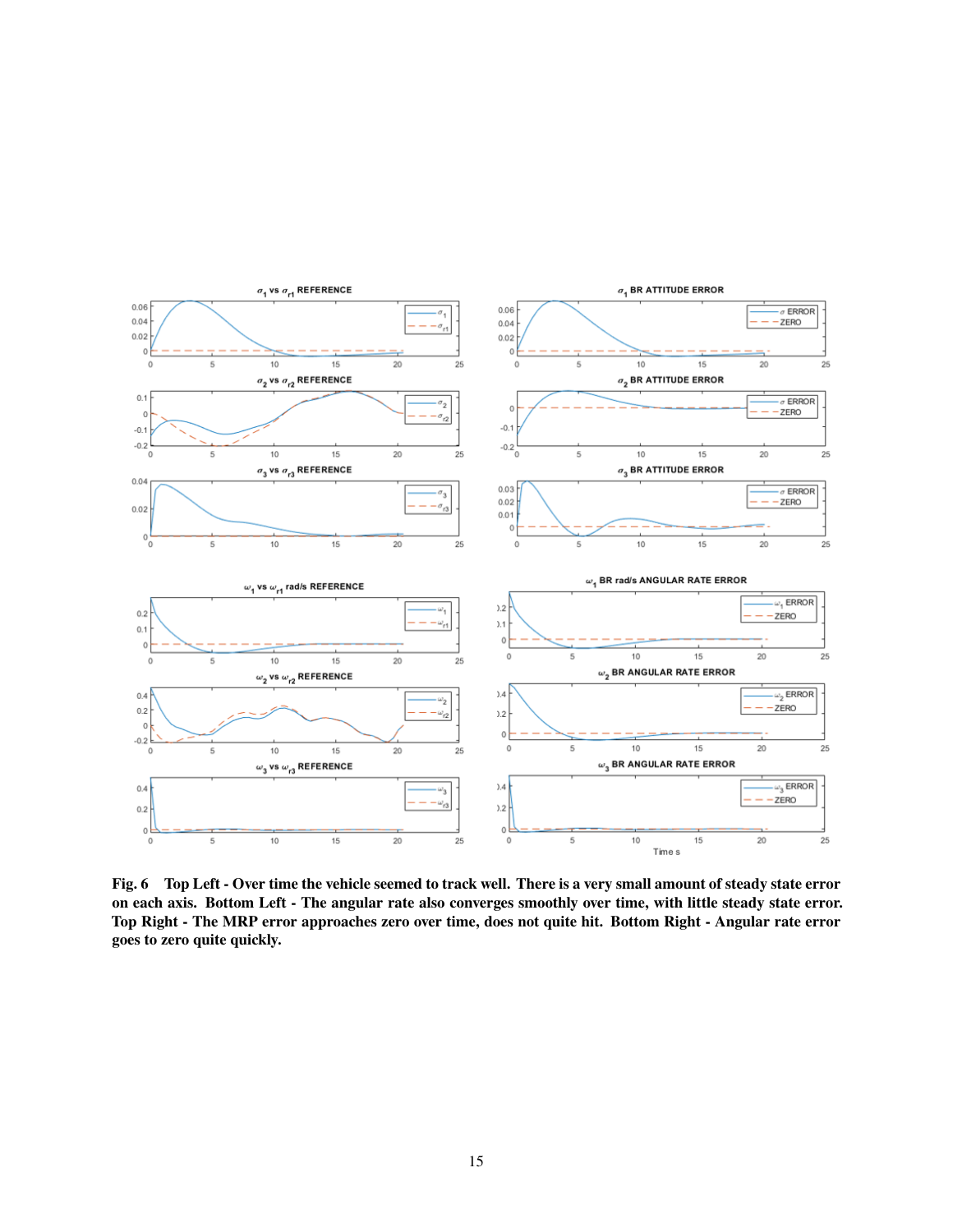<span id="page-14-0"></span>

**Fig. 6 Top Left - Over time the vehicle seemed to track well. There is a very small amount of steady state error on each axis. Bottom Left - The angular rate also converges smoothly over time, with little steady state error. Top Right - The MRP error approaches zero over time, does not quite hit. Bottom Right - Angular rate error goes to zero quite quickly.**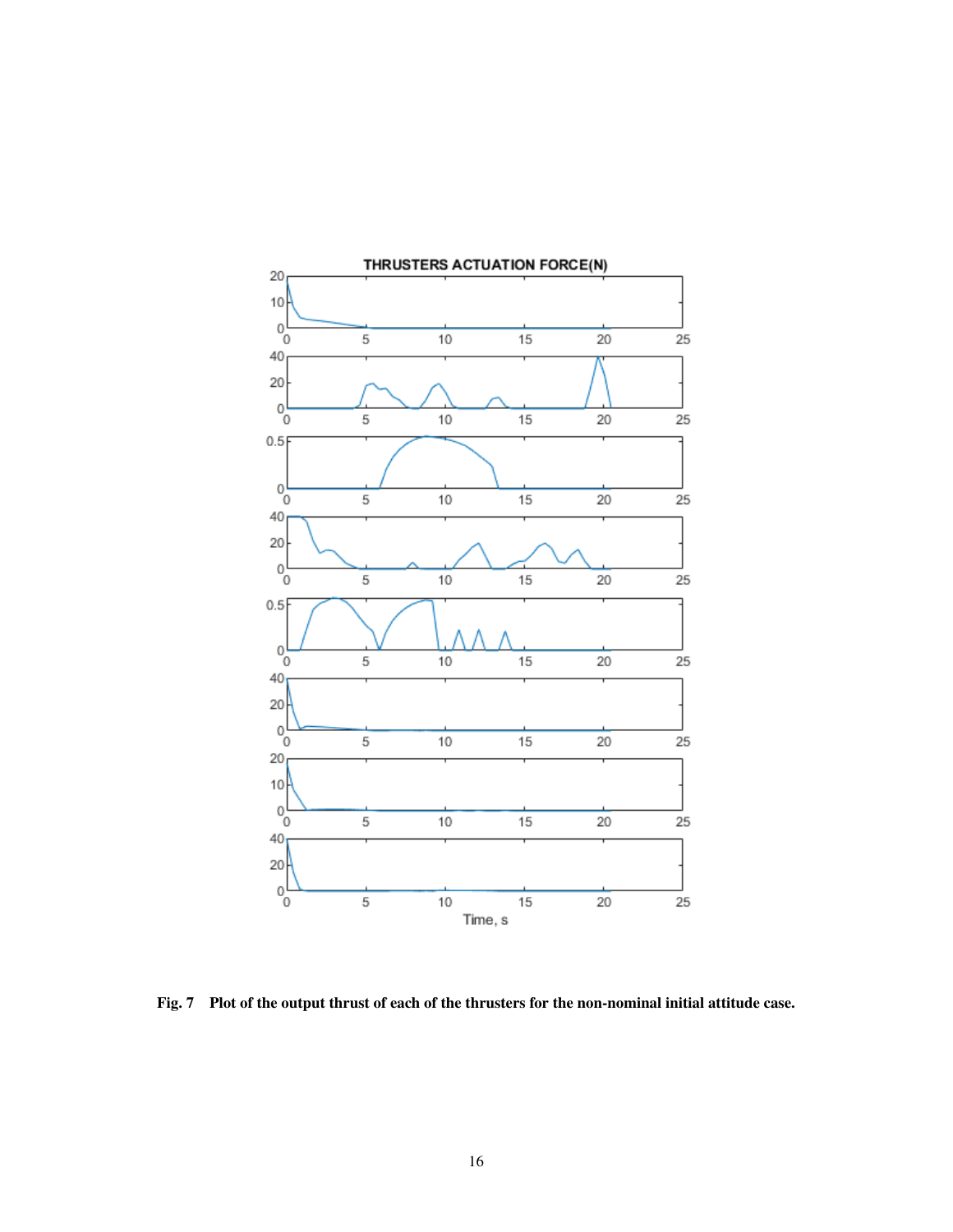<span id="page-15-0"></span>

**Fig. 7 Plot of the output thrust of each of the thrusters for the non-nominal initial attitude case.**